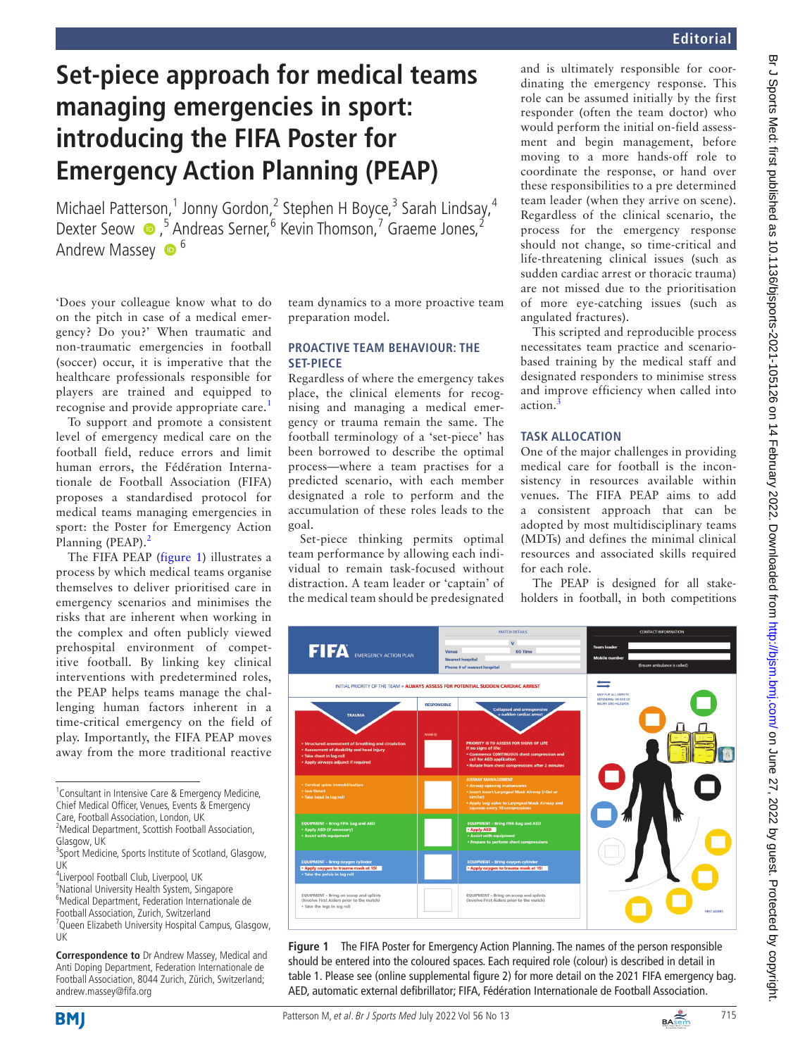# **Set-piece approach for medical teams managing emergencies in sport: introducing the FIFA Poster for Emergency Action Planning (PEAP)**

Michael Patterson,<sup>1</sup> Jonny Gordon,<sup>2</sup> Stephen H Boyce,<sup>3</sup> Sarah Lindsay,<sup>4</sup> DexterSeow ●,<sup>5</sup> Andreas Serner,<sup>6</sup> Kevin Thomson,<sup>7</sup> Graeme Jones,<sup>2</sup> Andrew Massey  $\bullet$ <sup>6</sup>

'Does your colleague know what to do on the pitch in case of a medical emergency? Do you?' When traumatic and non-traumatic emergencies in football (soccer) occur, it is imperative that the healthcare professionals responsible for players are trained and equipped to recognise and provide appropriate care.<sup>[1](#page-2-0)</sup>

To support and promote a consistent level of emergency medical care on the football field, reduce errors and limit human errors, the Fédération Internationale de Football Association (FIFA) proposes a standardised protocol for medical teams managing emergencies in sport: the Poster for Emergency Action Planning (PEAP).<sup>[2](#page-2-1)</sup>

The FIFA PEAP ([figure](#page-0-0) 1) illustrates a process by which medical teams organise themselves to deliver prioritised care in emergency scenarios and minimises the risks that are inherent when working in the complex and often publicly viewed prehospital environment of competitive football. By linking key clinical interventions with predetermined roles, the PEAP helps teams manage the challenging human factors inherent in a time-critical emergency on the field of play. Importantly, the FIFA PEAP moves away from the more traditional reactive

<sup>1</sup> Consultant in Intensive Care & Emergency Medicine, Chief Medical Officer, Venues, Events & Emergency Care, Football Association, London, UK

<sup>2</sup>Medical Department, Scottish Football Association,

4 Liverpool Football Club, Liverpool, UK

5 National University Health System, Singapore 6 Medical Department, Federation Internationale de Football Association, Zurich, Switzerland <sup>7</sup> Queen Elizabeth University Hospital Campus, Glasgow,

UK

**Correspondence to** Dr Andrew Massey, Medical and Anti Doping Department, Federation Internationale de Football Association, 8044 Zurich, Zürich, Switzerland; andrew.massey@fifa.org

team dynamics to a more proactive team preparation model.

### **PROACTIVE TEAM BEHAVIOUR: THE SET-PIECE**

Regardless of where the emergency takes place, the clinical elements for recognising and managing a medical emergency or trauma remain the same. The football terminology of a 'set-piece' has been borrowed to describe the optimal process—where a team practises for a predicted scenario, with each member designated a role to perform and the accumulation of these roles leads to the goal.

Set-piece thinking permits optimal team performance by allowing each individual to remain task-focused without distraction. A team leader or 'captain' of the medical team should be predesignated

and is ultimately responsible for coordinating the emergency response. This role can be assumed initially by the first responder (often the team doctor) who would perform the initial on-field assessment and begin management, before moving to a more hands-off role to coordinate the response, or hand over these responsibilities to a pre determined team leader (when they arrive on scene). Regardless of the clinical scenario, the process for the emergency response should not change, so time-critical and life-threatening clinical issues (such as sudden cardiac arrest or thoracic trauma) are not missed due to the prioritisation of more eye-catching issues (such as angulated fractures).

This scripted and reproducible process necessitates team practice and scenariobased training by the medical staff and designated responders to minimise stress and improve efficiency when called into action.

# **TASK ALLOCATION**

One of the major challenges in providing medical care for football is the inconsistency in resources available within venues. The FIFA PEAP aims to add a consistent approach that can be adopted by most multidisciplinary teams (MDTs) and defines the minimal clinical resources and associated skills required for each role.

The PEAP is designed for all stakeholders in football, in both competitions



<span id="page-0-0"></span>**Figure 1** The FIFA Poster for Emergency Action Planning. The names of the person responsible should be entered into the coloured spaces. Each required role (colour) is described in detail in [table 1](#page-1-0). Please see [\(online supplemental figure 2\)](https://dx.doi.org/10.1136/bjsports-2021-105126) for more detail on the 2021 FIFA emergency bag. AED, automatic external defibrillator; FIFA, Fédération Internationale de Football Association.







Glasgow, UK

<sup>&</sup>lt;sup>3</sup>Sport Medicine, Sports Institute of Scotland, Glasgow, UK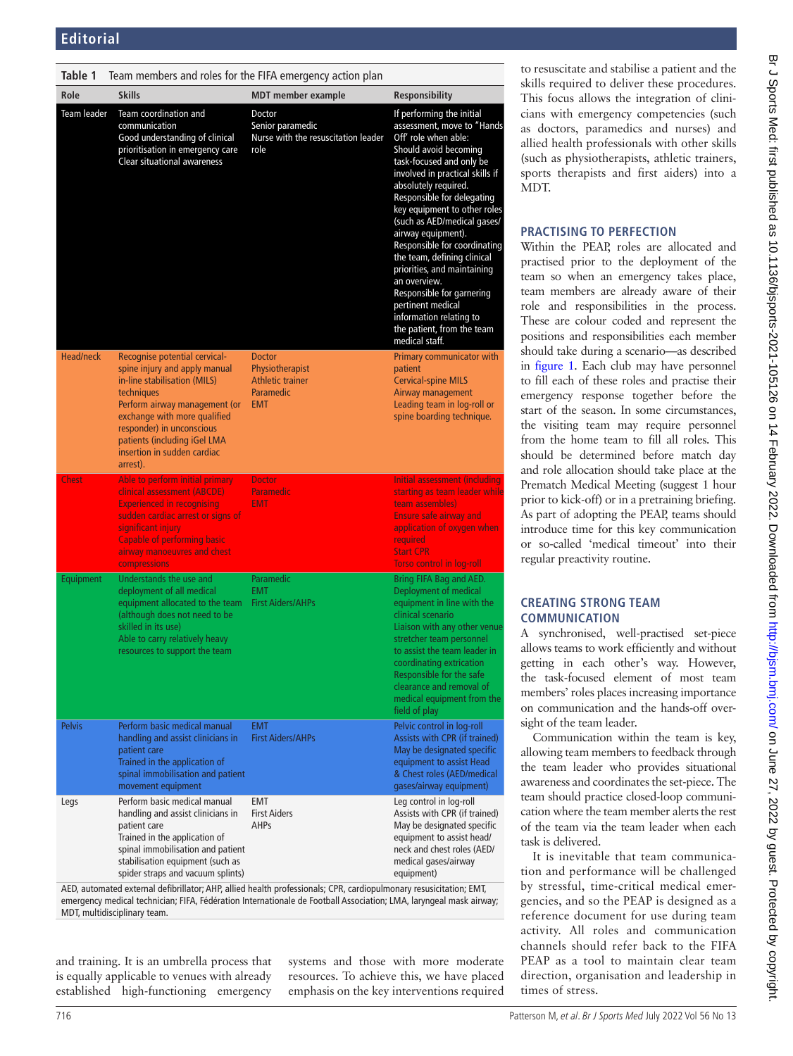<span id="page-1-0"></span>

| Table 1          | Team members and roles for the FIFA emergency action plan                                                                                                                                                                                                                             |                                                                                 |                                                                                                                                                                                                                                                                                                                                                                                                                                                                                                                                                               |
|------------------|---------------------------------------------------------------------------------------------------------------------------------------------------------------------------------------------------------------------------------------------------------------------------------------|---------------------------------------------------------------------------------|---------------------------------------------------------------------------------------------------------------------------------------------------------------------------------------------------------------------------------------------------------------------------------------------------------------------------------------------------------------------------------------------------------------------------------------------------------------------------------------------------------------------------------------------------------------|
| Role             | <b>Skills</b>                                                                                                                                                                                                                                                                         | <b>MDT</b> member example                                                       | <b>Responsibility</b>                                                                                                                                                                                                                                                                                                                                                                                                                                                                                                                                         |
| Team leader      | Team coordination and<br>communication<br>Good understanding of clinical<br>prioritisation in emergency care<br><b>Clear situational awareness</b>                                                                                                                                    | Doctor<br>Senior paramedic<br>Nurse with the resuscitation leader<br>role       | If performing the initial<br>assessment, move to "Hands<br>Off' role when able:<br>Should avoid becoming<br>task-focused and only be<br>involved in practical skills if<br>absolutely required.<br>Responsible for delegating<br>key equipment to other roles<br>(such as AED/medical gases/<br>airway equipment).<br>Responsible for coordinating<br>the team, defining clinical<br>priorities, and maintaining<br>an overview.<br>Responsible for garnering<br>pertinent medical<br>information relating to<br>the patient, from the team<br>medical staff. |
| <b>Head/neck</b> | Recognise potential cervical-<br>spine injury and apply manual<br>in-line stabilisation (MILS)<br>techniques<br>Perform airway management (or<br>exchange with more qualified<br>responder) in unconscious<br>patients (including iGel LMA<br>insertion in sudden cardiac<br>arrest). | <b>Doctor</b><br>Physiotherapist<br>Athletic trainer<br>Paramedic<br><b>EMT</b> | Primary communicator with<br>patient<br><b>Cervical-spine MILS</b><br>Airway management<br>Leading team in log-roll or<br>spine boarding technique.                                                                                                                                                                                                                                                                                                                                                                                                           |
| <b>Chest</b>     | Able to perform initial primary<br>clinical assessment (ABCDE)<br><b>Experienced in recognising</b><br>sudden cardiac arrest or signs of<br>significant injury<br><b>Capable of performing basic</b><br>airway manoeuvres and chest<br>compressions                                   | <b>Doctor</b><br><b>Paramedic</b><br><b>EMT</b>                                 | Initial assessment (including)<br>starting as team leader while<br>team assembles)<br><b>Ensure safe airway and</b><br>application of oxygen when<br>required<br><b>Start CPR</b><br><b>Torso control in log-roll</b>                                                                                                                                                                                                                                                                                                                                         |
| Equipment        | Understands the use and<br>deployment of all medical<br>equipment allocated to the team<br>(although does not need to be<br>skilled in its use)<br>Able to carry relatively heavy<br>resources to support the team                                                                    | Paramedic<br><b>EMT</b><br><b>First Aiders/AHPs</b>                             | Bring FIFA Bag and AED.<br>Deployment of medical<br>equipment in line with the<br>clinical scenario<br>Liaison with any other venue<br>stretcher team personnel<br>to assist the team leader in<br>coordinating extrication<br>Responsible for the safe<br>clearance and removal of<br>medical equipment from the<br>field of play                                                                                                                                                                                                                            |
| <b>Pelvis</b>    | Perform basic medical manual<br>handling and assist clinicians in<br>patient care<br>Trained in the application of<br>spinal immobilisation and patient<br>movement equipment                                                                                                         | <b>EMT</b><br><b>First Aiders/AHPs</b>                                          | Pelvic control in log-roll<br>Assists with CPR (if trained)<br>May be designated specific<br>equipment to assist Head<br>& Chest roles (AED/medical<br>gases/airway equipment)                                                                                                                                                                                                                                                                                                                                                                                |
| Legs             | Perform basic medical manual<br>handling and assist clinicians in<br>patient care<br>Trained in the application of<br>spinal immobilisation and patient<br>stabilisation equipment (such as<br>spider straps and vacuum splints)                                                      | EMT<br><b>First Aiders</b><br><b>AHPs</b>                                       | Leg control in log-roll<br>Assists with CPR (if trained)<br>May be designated specific<br>equipment to assist head/<br>neck and chest roles (AED/<br>medical gases/airway<br>equipment)                                                                                                                                                                                                                                                                                                                                                                       |

AED, automated external defibrillator; AHP, allied health professionals; CPR, cardiopulmonary resusicitation; EMT, emergency medical technician; FIFA, Fédération Internationale de Football Association; LMA, laryngeal mask airway; MDT, multidisciplinary team.

and training. It is an umbrella process that is equally applicable to venues with already established high-functioning emergency systems and those with more moderate resources. To achieve this, we have placed emphasis on the key interventions required to resuscitate and stabilise a patient and the skills required to deliver these procedures. This focus allows the integration of clinicians with emergency competencies (such as doctors, paramedics and nurses) and allied health professionals with other skills (such as physiotherapists, athletic trainers, sports therapists and first aiders) into a MDT.

# **PRACTISING TO PERFECTION**

Within the PEAP, roles are allocated and practised prior to the deployment of the team so when an emergency takes place, team members are already aware of their role and responsibilities in the process. These are colour coded and represent the positions and responsibilities each member should take during a scenario—as described in [figure](#page-0-0) 1. Each club may have personnel to fill each of these roles and practise their emergency response together before the start of the season. In some circumstances, the visiting team may require personnel from the home team to fill all roles. This should be determined before match day and role allocation should take place at the Prematch Medical Meeting (suggest 1 hour prior to kick-off) or in a pretraining briefing. As part of adopting the PEAP, teams should introduce time for this key communication or so-called 'medical timeout' into their regular preactivity routine.

# **CREATING STRONG TEAM COMMUNICATION**

A synchronised, well-practised set-piece allows teams to work efficiently and without getting in each other's way. However, the task-focused element of most team members' roles places increasing importance on communication and the hands-off oversight of the team leader.

Communication within the team is key, allowing team members to feedback through the team leader who provides situational awareness and coordinates the set-piece. The team should practice closed-loop communication where the team member alerts the rest of the team via the team leader when each task is delivered.

It is inevitable that team communication and performance will be challenged by stressful, time-critical medical emergencies, and so the PEAP is designed as a reference document for use during team activity. All roles and communication channels should refer back to the FIFA PEAP as a tool to maintain clear team direction, organisation and leadership in times of stress.